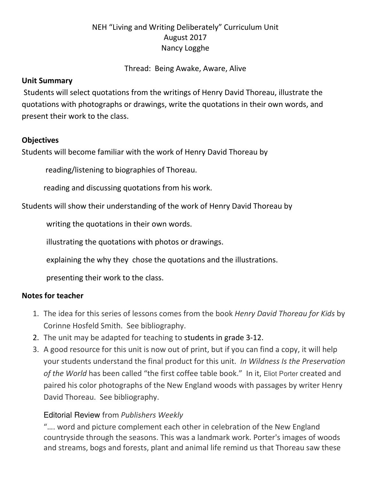### NEH "Living and Writing Deliberately" Curriculum Unit August 2017 Nancy Logghe

#### Thread: Being Awake, Aware, Alive

#### Unit Summary

Students will select quotations from the writings of Henry David Thoreau, illustrate the quotations with photographs or drawings, write the quotations in their own words, and present their work to the class.

#### **Objectives**

Students will become familiar with the work of Henry David Thoreau by

reading/listening to biographies of Thoreau.

reading and discussing quotations from his work.

Students will show their understanding of the work of Henry David Thoreau by

writing the quotations in their own words.

illustrating the quotations with photos or drawings.

explaining the why they chose the quotations and the illustrations.

presenting their work to the class.

#### Notes for teacher

- 1. The idea for this series of lessons comes from the book Henry David Thoreau for Kids by Corinne Hosfeld Smith. See bibliography.
- 2. The unit may be adapted for teaching to students in grade 3-12.
- 3. A good resource for this unit is now out of print, but if you can find a copy, it will help your students understand the final product for this unit. In Wildness Is the Preservation of the World has been called "the first coffee table book." In it, Eliot Porter created and paired his color photographs of the New England woods with passages by writer Henry David Thoreau. See bibliography.

#### Editorial Review from Publishers Weekly

"…. word and picture complement each other in celebration of the New England countryside through the seasons. This was a landmark work. Porter's images of woods and streams, bogs and forests, plant and animal life remind us that Thoreau saw these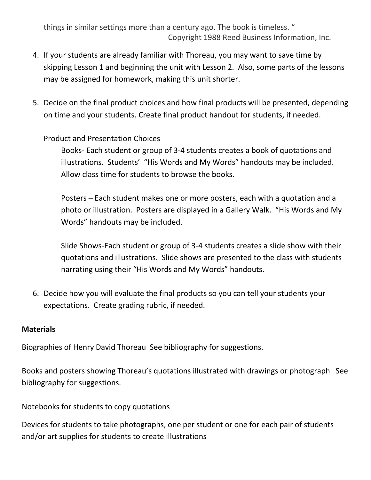things in similar settings more than a century ago. The book is timeless. " Copyright 1988 Reed Business Information, Inc.

- 4. If your students are already familiar with Thoreau, you may want to save time by skipping Lesson 1 and beginning the unit with Lesson 2. Also, some parts of the lessons may be assigned for homework, making this unit shorter.
- 5. Decide on the final product choices and how final products will be presented, depending on time and your students. Create final product handout for students, if needed.

#### Product and Presentation Choices

Books- Each student or group of 3-4 students creates a book of quotations and illustrations. Students' "His Words and My Words" handouts may be included. Allow class time for students to browse the books.

Posters – Each student makes one or more posters, each with a quotation and a photo or illustration. Posters are displayed in a Gallery Walk. "His Words and My Words" handouts may be included.

Slide Shows-Each student or group of 3-4 students creates a slide show with their quotations and illustrations. Slide shows are presented to the class with students narrating using their "His Words and My Words" handouts.

6. Decide how you will evaluate the final products so you can tell your students your expectations. Create grading rubric, if needed.

#### **Materials**

Biographies of Henry David Thoreau See bibliography for suggestions.

Books and posters showing Thoreau's quotations illustrated with drawings or photograph See bibliography for suggestions.

Notebooks for students to copy quotations

Devices for students to take photographs, one per student or one for each pair of students and/or art supplies for students to create illustrations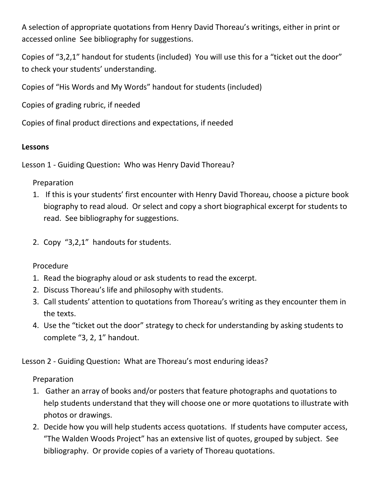A selection of appropriate quotations from Henry David Thoreau's writings, either in print or accessed online See bibliography for suggestions.

Copies of "3,2,1" handout for students (included) You will use this for a "ticket out the door" to check your students' understanding.

Copies of "His Words and My Words" handout for students (included)

Copies of grading rubric, if needed

Copies of final product directions and expectations, if needed

#### Lessons

Lesson 1 - Guiding Question: Who was Henry David Thoreau?

#### Preparation

- 1. If this is your students' first encounter with Henry David Thoreau, choose a picture book biography to read aloud. Or select and copy a short biographical excerpt for students to read. See bibliography for suggestions.
- 2. Copy "3,2,1" handouts for students.

### Procedure

- 1. Read the biography aloud or ask students to read the excerpt.
- 2. Discuss Thoreau's life and philosophy with students.
- 3. Call students' attention to quotations from Thoreau's writing as they encounter them in the texts.
- 4. Use the "ticket out the door" strategy to check for understanding by asking students to complete "3, 2, 1" handout.

Lesson 2 - Guiding Question: What are Thoreau's most enduring ideas?

### Preparation

- 1. Gather an array of books and/or posters that feature photographs and quotations to help students understand that they will choose one or more quotations to illustrate with photos or drawings.
- 2. Decide how you will help students access quotations. If students have computer access, "The Walden Woods Project" has an extensive list of quotes, grouped by subject. See bibliography. Or provide copies of a variety of Thoreau quotations.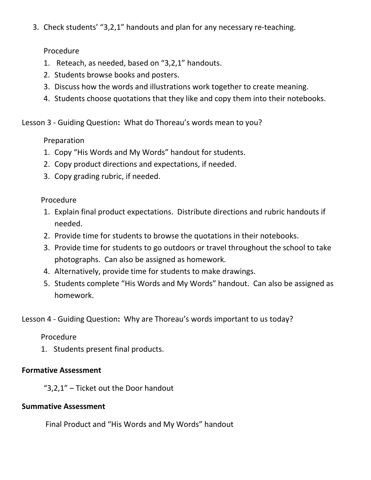3. Check students' "3,2,1" handouts and plan for any necessary re-teaching.

#### Procedure

- 1. Reteach, as needed, based on "3,2,1" handouts.
- 2. Students browse books and posters.
- 3. Discuss how the words and illustrations work together to create meaning.
- 4. Students choose quotations that they like and copy them into their notebooks.

Lesson 3 - Guiding Question: What do Thoreau's words mean to you?

### Preparation

- 1. Copy "His Words and My Words" handout for students.
- 2. Copy product directions and expectations, if needed.
- 3. Copy grading rubric, if needed.

### Procedure

- 1. Explain final product expectations. Distribute directions and rubric handouts if needed.
- 2. Provide time for students to browse the quotations in their notebooks.
- 3. Provide time for students to go outdoors or travel throughout the school to take photographs. Can also be assigned as homework.
- 4. Alternatively, provide time for students to make drawings.
- 5. Students complete "His Words and My Words" handout. Can also be assigned as homework.

Lesson 4 - Guiding Question: Why are Thoreau's words important to us today?

### Procedure

1. Students present final products.

### Formative Assessment

"3,2,1" – Ticket out the Door handout

### Summative Assessment

Final Product and "His Words and My Words" handout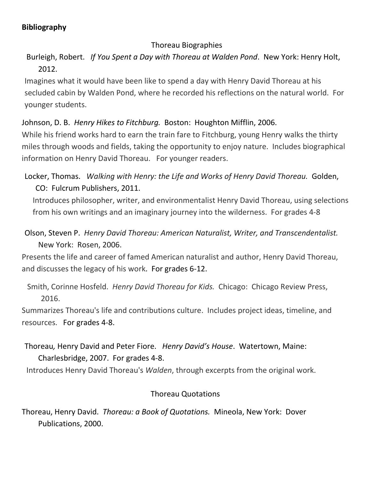### Bibliography

### Thoreau Biographies

 Burleigh, Robert. If You Spent a Day with Thoreau at Walden Pond. New York: Henry Holt, 2012.

Imagines what it would have been like to spend a day with Henry David Thoreau at his secluded cabin by Walden Pond, where he recorded his reflections on the natural world. For younger students.

### Johnson, D. B. Henry Hikes to Fitchburg. Boston: Houghton Mifflin, 2006.

While his friend works hard to earn the train fare to Fitchburg, young Henry walks the thirty miles through woods and fields, taking the opportunity to enjoy nature. Includes biographical information on Henry David Thoreau. For younger readers.

Locker, Thomas. Walking with Henry: the Life and Works of Henry David Thoreau. Golden, CO: Fulcrum Publishers, 2011.

Introduces philosopher, writer, and environmentalist Henry David Thoreau, using selections from his own writings and an imaginary journey into the wilderness. For grades 4-8

Olson, Steven P. Henry David Thoreau: American Naturalist, Writer, and Transcendentalist. New York: Rosen, 2006.

Presents the life and career of famed American naturalist and author, Henry David Thoreau, and discusses the legacy of his work. For grades 6-12.

Smith, Corinne Hosfeld. Henry David Thoreau for Kids. Chicago: Chicago Review Press, 2016.

Summarizes Thoreau's life and contributions culture. Includes project ideas, timeline, and resources. For grades 4-8.

## Thoreau, Henry David and Peter Fiore. Henry David's House. Watertown, Maine: Charlesbridge, 2007. For grades 4-8.

Introduces Henry David Thoreau's Walden, through excerpts from the original work.

### Thoreau Quotations

Thoreau, Henry David. Thoreau: a Book of Quotations. Mineola, New York: Dover Publications, 2000.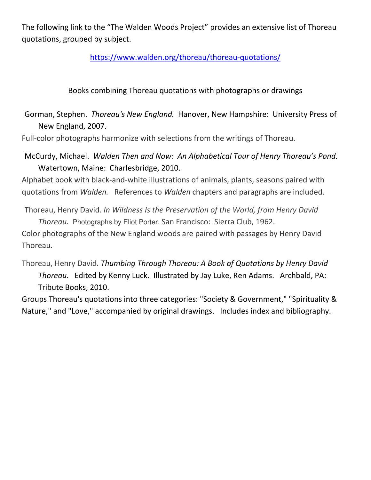The following link to the "The Walden Woods Project" provides an extensive list of Thoreau quotations, grouped by subject.

https://www.walden.org/thoreau/thoreau-quotations/

Books combining Thoreau quotations with photographs or drawings

Gorman, Stephen. Thoreau's New England. Hanover, New Hampshire: University Press of New England, 2007.

Full-color photographs harmonize with selections from the writings of Thoreau.

McCurdy, Michael. Walden Then and Now: An Alphabetical Tour of Henry Thoreau's Pond. Watertown, Maine: Charlesbridge, 2010.

Alphabet book with black-and-white illustrations of animals, plants, seasons paired with quotations from Walden. References to Walden chapters and paragraphs are included.

Thoreau, Henry David. In Wildness Is the Preservation of the World, from Henry David Thoreau. Photographs by Eliot Porter. San Francisco: Sierra Club, 1962.

Color photographs of the New England woods are paired with passages by Henry David Thoreau.

Thoreau, Henry David. Thumbing Through Thoreau: A Book of Quotations by Henry David Thoreau. Edited by Kenny Luck. Illustrated by Jay Luke, Ren Adams. Archbald, PA: Tribute Books, 2010.

Groups Thoreau's quotations into three categories: "Society & Government," "Spirituality & Nature," and "Love," accompanied by original drawings. Includes index and bibliography.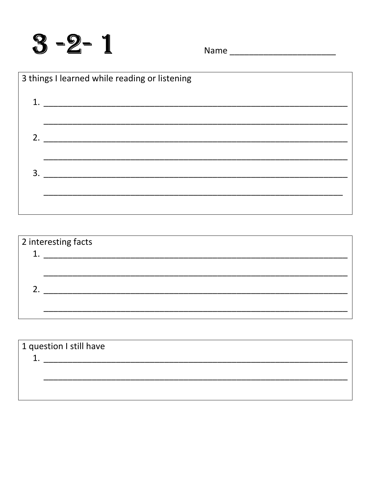

Name \_\_\_\_\_\_\_\_\_\_\_\_\_\_\_\_\_\_\_\_\_\_\_\_\_\_\_\_



| 2 interesting facts |  |  |  |
|---------------------|--|--|--|
|                     |  |  |  |
|                     |  |  |  |
|                     |  |  |  |
|                     |  |  |  |
|                     |  |  |  |
|                     |  |  |  |

| 1 question I still have |  |  |
|-------------------------|--|--|
|                         |  |  |
|                         |  |  |
|                         |  |  |
|                         |  |  |